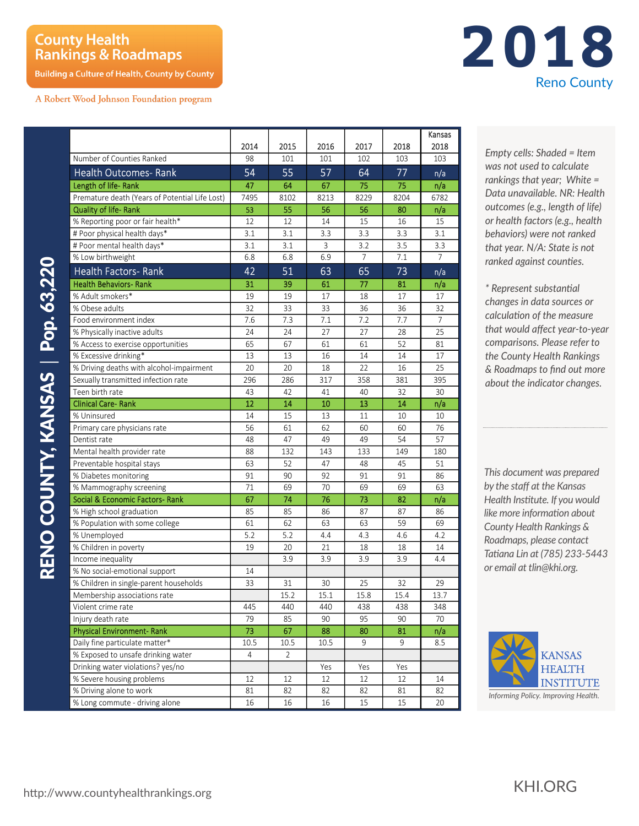## **County Health Rankings & Roadmaps**

**Building a Culture of Health, County by County** 

A Robert Wood Johnson Foundation program

|                                                |      |      |      |      |      | Kansas         |
|------------------------------------------------|------|------|------|------|------|----------------|
|                                                | 2014 | 2015 | 2016 | 2017 | 2018 | 2018           |
| Number of Counties Ranked                      | 98   | 101  | 101  | 102  | 103  | 103            |
| <b>Health Outcomes- Rank</b>                   | 54   | 55   | 57   | 64   | 77   | n/a            |
| Length of life-Rank                            | 47   | 64   | 67   | 75   | 75   | n/a            |
| Premature death (Years of Potential Life Lost) | 7495 | 8102 | 8213 | 8229 | 8204 | 6782           |
| <b>Quality of life-Rank</b>                    | 53   | 55   | 56   | 56   | 80   | n/a            |
| % Reporting poor or fair health*               | 12   | 12   | 14   | 15   | 16   | 15             |
| # Poor physical health days*                   | 3.1  | 3.1  | 3.3  | 3.3  | 3.3  | 3.1            |
| # Poor mental health days*                     | 3.1  | 3.1  | 3    | 3.2  | 3.5  | 3.3            |
| % Low birthweight                              | 6.8  | 6.8  | 6.9  | 7    | 7.1  | 7              |
| <b>Health Factors- Rank</b>                    | 42   | 51   | 63   | 65   | 73   | n/a            |
| <b>Health Behaviors- Rank</b>                  | 31   | 39   | 61   | 77   | 81   | n/a            |
| % Adult smokers*                               | 19   | 19   | 17   | 18   | 17   | 17             |
| % Obese adults                                 | 32   | 33   | 33   | 36   | 36   | 32             |
| Food environment index                         | 7.6  | 7.3  | 7.1  | 7.2  | 7.7  | $\overline{7}$ |
| % Physically inactive adults                   | 24   | 24   | 27   | 27   | 28   | 25             |
| % Access to exercise opportunities             | 65   | 67   | 61   | 61   | 52   | 81             |
| % Excessive drinking*                          | 13   | 13   | 16   | 14   | 14   | 17             |
| % Driving deaths with alcohol-impairment       | 20   | 20   | 18   | 22   | 16   | 25             |
| Sexually transmitted infection rate            | 296  | 286  | 317  | 358  | 381  | 395            |
| Teen birth rate                                | 43   | 42   | 41   | 40   | 32   | 30             |
| <b>Clinical Care-Rank</b>                      | 12   | 14   | 10   | 13   | 14   | n/a            |
| % Uninsured                                    | 14   | 15   | 13   | 11   | 10   | 10             |
| Primary care physicians rate                   | 56   | 61   | 62   | 60   | 60   | 76             |
| Dentist rate                                   | 48   | 47   | 49   | 49   | 54   | 57             |
| Mental health provider rate                    | 88   | 132  | 143  | 133  | 149  | 180            |
| Preventable hospital stays                     | 63   | 52   | 47   | 48   | 45   | 51             |
| % Diabetes monitoring                          | 91   | 90   | 92   | 91   | 91   | 86             |
| % Mammography screening                        | 71   | 69   | 70   | 69   | 69   | 63             |
| Social & Economic Factors-Rank                 | 67   | 74   | 76   | 73   | 82   | n/a            |
| % High school graduation                       | 85   | 85   | 86   | 87   | 87   | 86             |
| % Population with some college                 | 61   | 62   | 63   | 63   | 59   | 69             |
| % Unemployed                                   | 5.2  | 5.2  | 4.4  | 4.3  | 4.6  | 4.2            |
| % Children in poverty                          | 19   | 20   | 21   | 18   | 18   | 14             |
| Income inequality                              |      | 3.9  | 3.9  | 3.9  | 3.9  | 4.4            |
| % No social-emotional support                  | 14   |      |      |      |      |                |
| % Children in single-parent households         | 33   | 31   | 30   | 25   | 32   | 29             |
| Membership associations rate                   |      | 15.2 | 15.1 | 15.8 | 15.4 | 13.7           |
| Violent crime rate                             | 445  | 440  | 440  | 438  | 438  | 348            |
| Injury death rate                              | 79   | 85   | 90   | 95   | 90   | 70             |
| <b>Physical Environment-Rank</b>               | 73   | 67   | 88   | 80   | 81   | n/a            |
| Daily fine particulate matter*                 | 10.5 | 10.5 | 10.5 | 9    | 9    | 8.5            |
| % Exposed to unsafe drinking water             | 4    | 2    |      |      |      |                |
| Drinking water violations? yes/no              |      |      | Yes  | Yes  | Yes  |                |
| % Severe housing problems                      | 12   | 12   | 12   | 12   | 12   | 14             |
| % Driving alone to work                        | 81   | 82   | 82   | 82   | 81   | 82             |
| % Long commute - driving alone                 | 16   | 16   | 16   | 15   | 15   | 20             |

**2018** Reno County

> *Empty cells: Shaded = Item was not used to calculate rankings that year; White = Data unavailable. NR: Health outcomes (e.g., length of life) or health factors (e.g., health behaviors) were not ranked that year. N/A: State is not ranked against counties.* ngs<br>una<br>omes<br>alth

*\* Represent substantial changes in data sources or calculation of the measure that would affect year-to-year comparisons. Please refer to the County Health Rankings & Roadmaps to find out more about the indicator changes.*

*This document was prepared by the staff at the Kansas Health Institute. If you would like more information about County Health Rankings & Roadmaps, please contact Tatiana Lin at (785) 233-5443 or email at tlin@khi.org.*



RENO COUNTY, KANSAS | Pop. 63,220 RENO COUNTY, KANSAS | Pop. 63,220